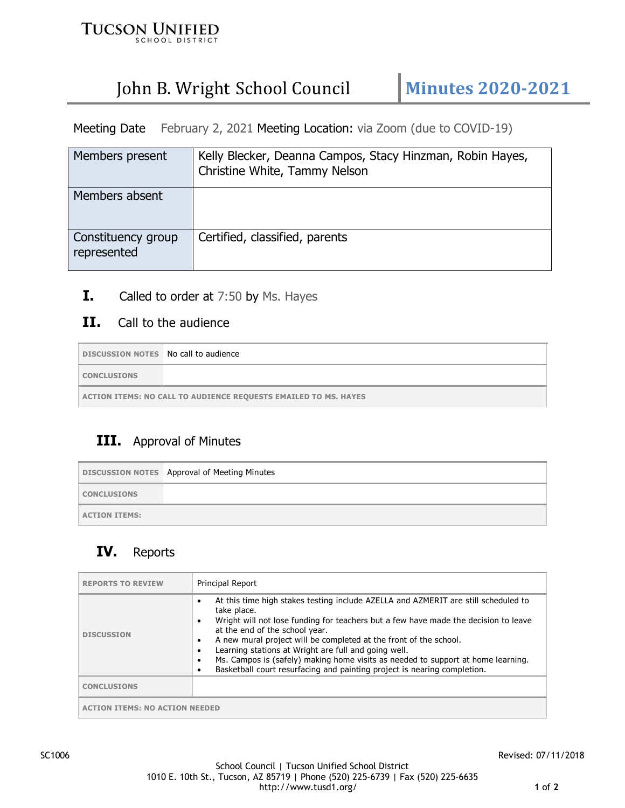

# John B. Wright School Council | Minutes 2020-2021

Meeting Date February 2, 2021 Meeting Location: via Zoom (due to COVID-19)

| Members present                   | Kelly Blecker, Deanna Campos, Stacy Hinzman, Robin Hayes,<br>Christine White, Tammy Nelson |
|-----------------------------------|--------------------------------------------------------------------------------------------|
| Members absent                    |                                                                                            |
| Constituency group<br>represented | Certified, classified, parents                                                             |

**I.** Called to order at 7:50 by Ms. Hayes

#### **II.** Call to the audience

| DISCUSSION NOTES   No call to audience                          |  |
|-----------------------------------------------------------------|--|
| <b>CONCLUSIONS</b>                                              |  |
| ACTION ITEMS: NO CALL TO AUDIENCE REQUESTS EMAILED TO MS. HAYES |  |

### **III.** Approval of Minutes

|                      | DISCUSSION NOTES   Approval of Meeting Minutes |
|----------------------|------------------------------------------------|
| <b>CONCLUSIONS</b>   |                                                |
| <b>ACTION ITEMS:</b> |                                                |

## **IV.** Reports

| <b>REPORTS TO REVIEW</b>           | Principal Report                                                                                                                                                                                                                                                                                                                                                                                                                                                                                                                                 |
|------------------------------------|--------------------------------------------------------------------------------------------------------------------------------------------------------------------------------------------------------------------------------------------------------------------------------------------------------------------------------------------------------------------------------------------------------------------------------------------------------------------------------------------------------------------------------------------------|
| <b>DISCUSSION</b>                  | At this time high stakes testing include AZELLA and AZMERIT are still scheduled to<br>٠<br>take place.<br>Wright will not lose funding for teachers but a few have made the decision to leave<br>٠<br>at the end of the school year.<br>A new mural project will be completed at the front of the school.<br>٠<br>Learning stations at Wright are full and going well.<br>٠<br>Ms. Campos is (safely) making home visits as needed to support at home learning.<br>٠<br>Basketball court resurfacing and painting project is nearing completion. |
| <b>CONCLUSIONS</b>                 |                                                                                                                                                                                                                                                                                                                                                                                                                                                                                                                                                  |
| <b>TON ITEMS: NO ACTION NEEDED</b> |                                                                                                                                                                                                                                                                                                                                                                                                                                                                                                                                                  |